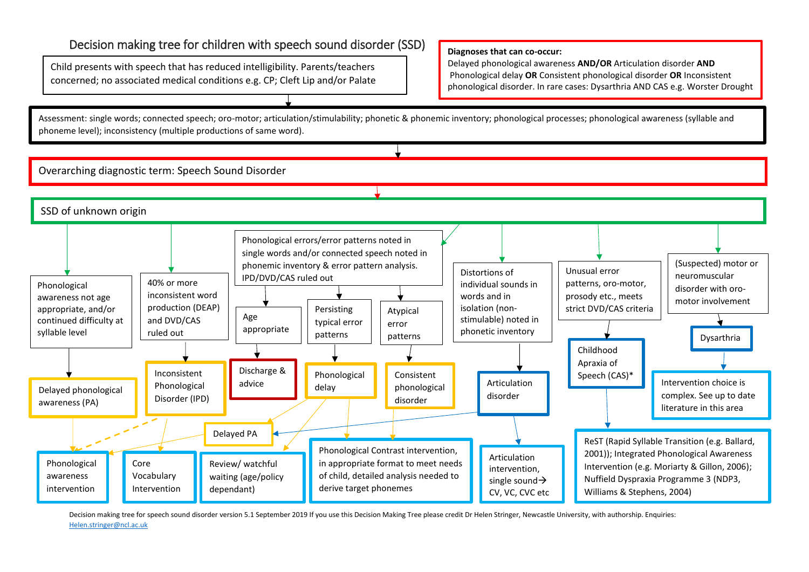# Decision making tree for children with speech sound disorder (SSD)

Child presents with speech that has reduced intelligibility. Parents/teachers concerned; no associated medical conditions e.g. CP; Cleft Lip and/or Palate

#### **Diagnoses that can co-occur:**

Delayed phonological awareness **AND/OR** Articulation disorder **AND** Phonological delay **OR** Consistent phonological disorder **OR** Inconsistent phonological disorder. In rare cases: Dysarthria AND CAS e.g. Worster Drought

Assessment: single words; connected speech; oro-motor; articulation/stimulability; phonetic & phonemic inventory; phonological processes; phonological awareness (syllable and phoneme level); inconsistency (multiple productions of same word).

Overarching diagnostic term: Speech Sound Disorder



Decision making tree for speech sound disorder version 5.1 September 2019 If you use this Decision Making Tree please credit Dr Helen Stringer, Newcastle University, with authorship. Enquiries: [Helen.stringer@ncl.ac.uk](mailto:Helen.stringer@ncl.ac.uk)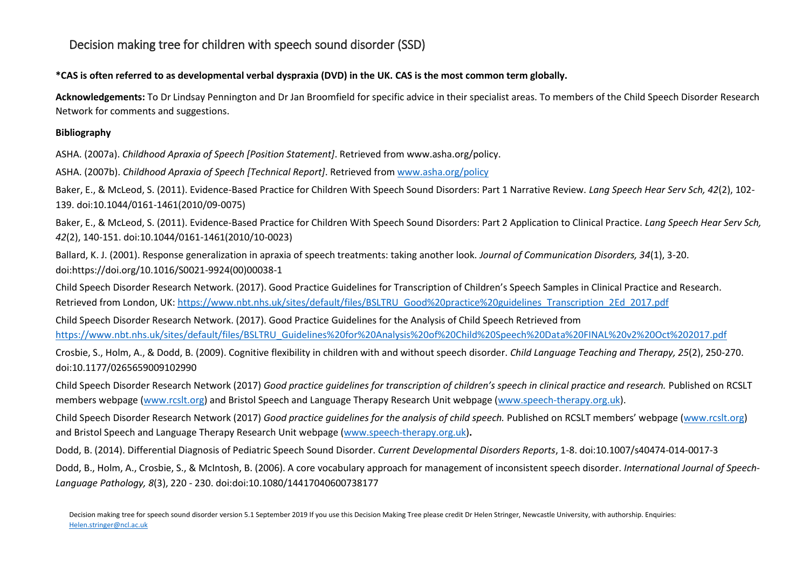# Decision making tree for children with speech sound disorder (SSD)

## **\*CAS is often referred to as developmental verbal dyspraxia (DVD) in the UK. CAS is the most common term globally.**

**Acknowledgements:** To Dr Lindsay Pennington and Dr Jan Broomfield for specific advice in their specialist areas. To members of the Child Speech Disorder Research Network for comments and suggestions.

### **Bibliography**

ASHA. (2007a). *Childhood Apraxia of Speech [Position Statement]*. Retrieved from www.asha.org/policy.

ASHA. (2007b). *Childhood Apraxia of Speech [Technical Report]*. Retrieved from [www.asha.org/policy](http://www.asha.org/policy)

Baker, E., & McLeod, S. (2011). Evidence-Based Practice for Children With Speech Sound Disorders: Part 1 Narrative Review. *Lang Speech Hear Serv Sch, 42*(2), 102- 139. doi:10.1044/0161-1461(2010/09-0075)

Baker, E., & McLeod, S. (2011). Evidence-Based Practice for Children With Speech Sound Disorders: Part 2 Application to Clinical Practice. *Lang Speech Hear Serv Sch, 42*(2), 140-151. doi:10.1044/0161-1461(2010/10-0023)

Ballard, K. J. (2001). Response generalization in apraxia of speech treatments: taking another look. *Journal of Communication Disorders, 34*(1), 3-20. doi:https://doi.org/10.1016/S0021-9924(00)00038-1

Child Speech Disorder Research Network. (2017). Good Practice Guidelines for Transcription of Children's Speech Samples in Clinical Practice and Research. Retrieved from London, UK[: https://www.nbt.nhs.uk/sites/default/files/BSLTRU\\_Good%20practice%20guidelines\\_Transcription\\_2Ed\\_2017.pdf](https://www.nbt.nhs.uk/sites/default/files/BSLTRU_Good%20practice%20guidelines_Transcription_2Ed_2017.pdf)

Child Speech Disorder Research Network. (2017). Good Practice Guidelines for the Analysis of Child Speech Retrieved from [https://www.nbt.nhs.uk/sites/default/files/BSLTRU\\_Guidelines%20for%20Analysis%20of%20Child%20Speech%20Data%20FINAL%20v2%20Oct%202017.pdf](https://www.nbt.nhs.uk/sites/default/files/BSLTRU_Guidelines%20for%20Analysis%20of%20Child%20Speech%20Data%20FINAL%20v2%20Oct%202017.pdf)

Crosbie, S., Holm, A., & Dodd, B. (2009). Cognitive flexibility in children with and without speech disorder. *Child Language Teaching and Therapy, 25*(2), 250-270. doi:10.1177/0265659009102990

Child Speech Disorder Research Network (2017) *Good practice guidelines for transcription of children's speech in clinical practice and research.* Published on RCSLT members webpage [\(www.rcslt.org\)](http://www.rcslt.org/) and Bristol Speech and Language Therapy Research Unit webpage [\(www.speech-therapy.org.uk\)](http://www.speech-therapy.org.uk/).

Child Speech Disorder Research Network (2017) *Good practice guidelines for the analysis of child speech.* Published on RCSLT members' webpage [\(www.rcslt.org\)](http://www.rcslt.org/) and Bristol Speech and Language Therapy Research Unit webpage [\(www.speech-therapy.org.uk\)](http://www.speech-therapy.org.uk/)**.** 

Dodd, B. (2014). Differential Diagnosis of Pediatric Speech Sound Disorder. *Current Developmental Disorders Reports*, 1-8. doi:10.1007/s40474-014-0017-3

Dodd, B., Holm, A., Crosbie, S., & McIntosh, B. (2006). A core vocabulary approach for management of inconsistent speech disorder. *International Journal of Speech-Language Pathology, 8*(3), 220 - 230. doi:doi:10.1080/14417040600738177

Decision making tree for speech sound disorder version 5.1 September 2019 If you use this Decision Making Tree please credit Dr Helen Stringer, Newcastle University, with authorship. Enquiries: [Helen.stringer@ncl.ac.uk](mailto:Helen.stringer@ncl.ac.uk)